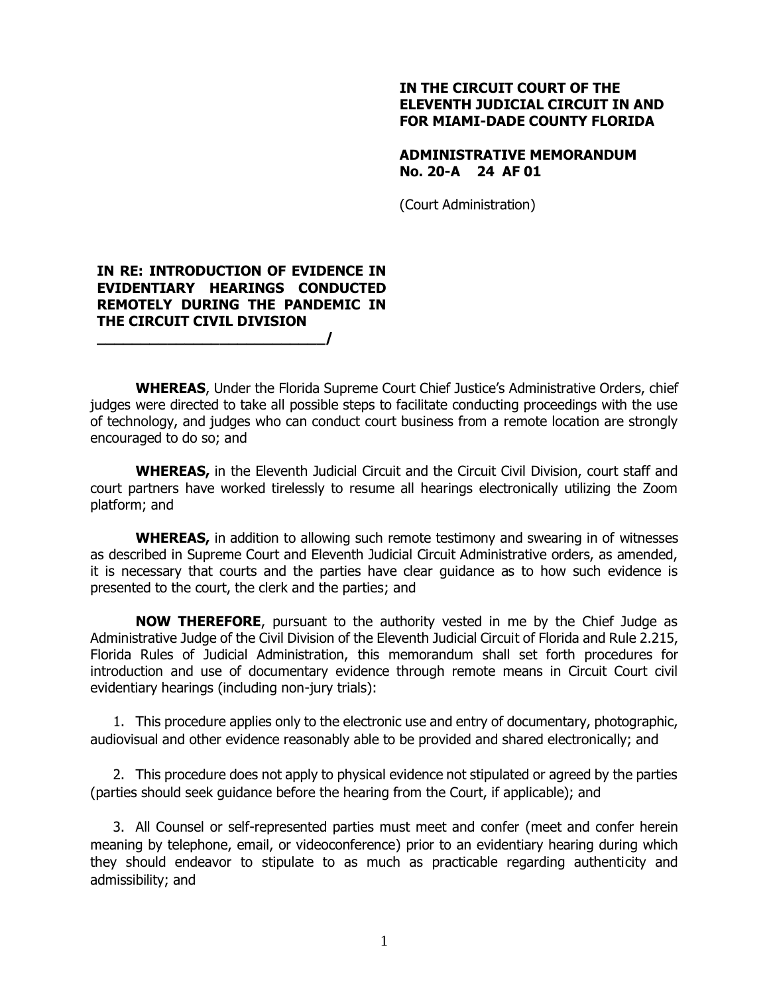## **IN THE CIRCUIT COURT OF THE ELEVENTH JUDICIAL CIRCUIT IN AND FOR MIAMI-DADE COUNTY FLORIDA**

## **ADMINISTRATIVE MEMORANDUM No. 20-A 24 AF 01**

(Court Administration)

## **IN RE: INTRODUCTION OF EVIDENCE IN EVIDENTIARY HEARINGS CONDUCTED REMOTELY DURING THE PANDEMIC IN THE CIRCUIT CIVIL DIVISION \_\_\_\_\_\_\_\_\_\_\_\_\_\_\_\_\_\_\_\_\_\_\_\_\_\_/**

**WHEREAS**, Under the Florida Supreme Court Chief Justice's Administrative Orders, chief judges were directed to take all possible steps to facilitate conducting proceedings with the use of technology, and judges who can conduct court business from a remote location are strongly encouraged to do so; and

**WHEREAS,** in the Eleventh Judicial Circuit and the Circuit Civil Division, court staff and court partners have worked tirelessly to resume all hearings electronically utilizing the Zoom platform; and

**WHEREAS,** in addition to allowing such remote testimony and swearing in of witnesses as described in Supreme Court and Eleventh Judicial Circuit Administrative orders, as amended, it is necessary that courts and the parties have clear guidance as to how such evidence is presented to the court, the clerk and the parties; and

**NOW THEREFORE**, pursuant to the authority vested in me by the Chief Judge as Administrative Judge of the Civil Division of the Eleventh Judicial Circuit of Florida and Rule 2.215, Florida Rules of Judicial Administration, this memorandum shall set forth procedures for introduction and use of documentary evidence through remote means in Circuit Court civil evidentiary hearings (including non-jury trials):

1. This procedure applies only to the electronic use and entry of documentary, photographic, audiovisual and other evidence reasonably able to be provided and shared electronically; and

2. This procedure does not apply to physical evidence not stipulated or agreed by the parties (parties should seek guidance before the hearing from the Court, if applicable); and

3. All Counsel or self-represented parties must meet and confer (meet and confer herein meaning by telephone, email, or videoconference) prior to an evidentiary hearing during which they should endeavor to stipulate to as much as practicable regarding authenticity and admissibility; and